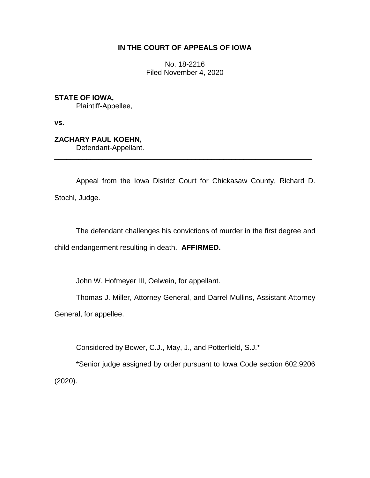# **IN THE COURT OF APPEALS OF IOWA**

No. 18-2216 Filed November 4, 2020

**STATE OF IOWA,** Plaintiff-Appellee,

**vs.**

**ZACHARY PAUL KOEHN,** Defendant-Appellant.

Appeal from the Iowa District Court for Chickasaw County, Richard D. Stochl, Judge.

\_\_\_\_\_\_\_\_\_\_\_\_\_\_\_\_\_\_\_\_\_\_\_\_\_\_\_\_\_\_\_\_\_\_\_\_\_\_\_\_\_\_\_\_\_\_\_\_\_\_\_\_\_\_\_\_\_\_\_\_\_\_\_\_

The defendant challenges his convictions of murder in the first degree and child endangerment resulting in death. **AFFIRMED.** 

John W. Hofmeyer III, Oelwein, for appellant.

Thomas J. Miller, Attorney General, and Darrel Mullins, Assistant Attorney General, for appellee.

Considered by Bower, C.J., May, J., and Potterfield, S.J.\*

\*Senior judge assigned by order pursuant to Iowa Code section 602.9206 (2020).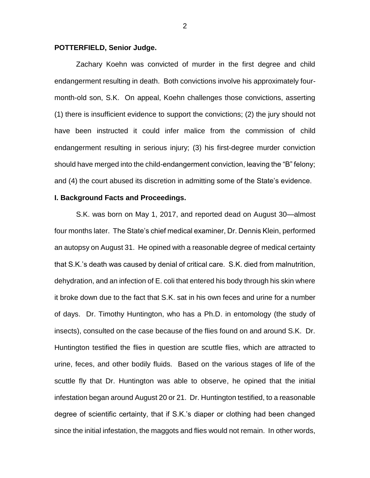### **POTTERFIELD, Senior Judge.**

Zachary Koehn was convicted of murder in the first degree and child endangerment resulting in death. Both convictions involve his approximately fourmonth-old son, S.K. On appeal, Koehn challenges those convictions, asserting (1) there is insufficient evidence to support the convictions; (2) the jury should not have been instructed it could infer malice from the commission of child endangerment resulting in serious injury; (3) his first-degree murder conviction should have merged into the child-endangerment conviction, leaving the "B" felony; and (4) the court abused its discretion in admitting some of the State's evidence.

### **I. Background Facts and Proceedings.**

S.K. was born on May 1, 2017, and reported dead on August 30—almost four months later. The State's chief medical examiner, Dr. Dennis Klein, performed an autopsy on August 31. He opined with a reasonable degree of medical certainty that S.K.'s death was caused by denial of critical care. S.K. died from malnutrition, dehydration, and an infection of E. coli that entered his body through his skin where it broke down due to the fact that S.K. sat in his own feces and urine for a number of days. Dr. Timothy Huntington, who has a Ph.D. in entomology (the study of insects), consulted on the case because of the flies found on and around S.K. Dr. Huntington testified the flies in question are scuttle flies, which are attracted to urine, feces, and other bodily fluids. Based on the various stages of life of the scuttle fly that Dr. Huntington was able to observe, he opined that the initial infestation began around August 20 or 21. Dr. Huntington testified, to a reasonable degree of scientific certainty, that if S.K.'s diaper or clothing had been changed since the initial infestation, the maggots and flies would not remain. In other words,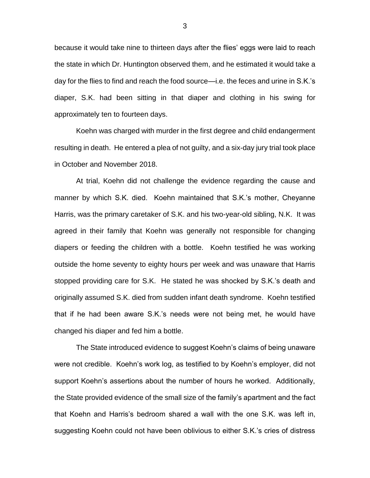because it would take nine to thirteen days after the flies' eggs were laid to reach the state in which Dr. Huntington observed them, and he estimated it would take a day for the flies to find and reach the food source—i.e. the feces and urine in S.K.'s diaper, S.K. had been sitting in that diaper and clothing in his swing for approximately ten to fourteen days.

Koehn was charged with murder in the first degree and child endangerment resulting in death. He entered a plea of not guilty, and a six-day jury trial took place in October and November 2018.

At trial, Koehn did not challenge the evidence regarding the cause and manner by which S.K. died. Koehn maintained that S.K.'s mother, Cheyanne Harris, was the primary caretaker of S.K. and his two-year-old sibling, N.K. It was agreed in their family that Koehn was generally not responsible for changing diapers or feeding the children with a bottle. Koehn testified he was working outside the home seventy to eighty hours per week and was unaware that Harris stopped providing care for S.K. He stated he was shocked by S.K.'s death and originally assumed S.K. died from sudden infant death syndrome. Koehn testified that if he had been aware S.K.'s needs were not being met, he would have changed his diaper and fed him a bottle.

The State introduced evidence to suggest Koehn's claims of being unaware were not credible. Koehn's work log, as testified to by Koehn's employer, did not support Koehn's assertions about the number of hours he worked. Additionally, the State provided evidence of the small size of the family's apartment and the fact that Koehn and Harris's bedroom shared a wall with the one S.K. was left in, suggesting Koehn could not have been oblivious to either S.K.'s cries of distress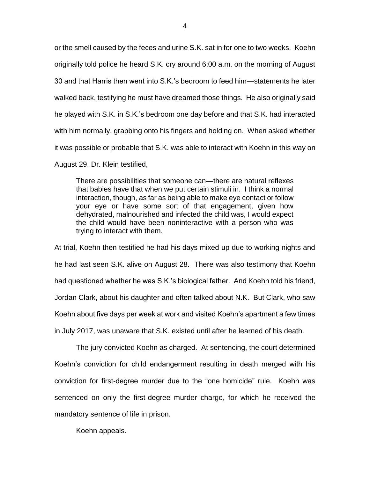or the smell caused by the feces and urine S.K. sat in for one to two weeks. Koehn originally told police he heard S.K. cry around 6:00 a.m. on the morning of August 30 and that Harris then went into S.K.'s bedroom to feed him—statements he later walked back, testifying he must have dreamed those things. He also originally said he played with S.K. in S.K.'s bedroom one day before and that S.K. had interacted with him normally, grabbing onto his fingers and holding on. When asked whether it was possible or probable that S.K. was able to interact with Koehn in this way on August 29, Dr. Klein testified,

There are possibilities that someone can—there are natural reflexes that babies have that when we put certain stimuli in. I think a normal interaction, though, as far as being able to make eye contact or follow your eye or have some sort of that engagement, given how dehydrated, malnourished and infected the child was, I would expect the child would have been noninteractive with a person who was trying to interact with them.

At trial, Koehn then testified he had his days mixed up due to working nights and he had last seen S.K. alive on August 28. There was also testimony that Koehn had questioned whether he was S.K.'s biological father. And Koehn told his friend, Jordan Clark, about his daughter and often talked about N.K. But Clark, who saw Koehn about five days per week at work and visited Koehn's apartment a few times in July 2017, was unaware that S.K. existed until after he learned of his death.

The jury convicted Koehn as charged. At sentencing, the court determined Koehn's conviction for child endangerment resulting in death merged with his conviction for first-degree murder due to the "one homicide" rule. Koehn was sentenced on only the first-degree murder charge, for which he received the mandatory sentence of life in prison.

Koehn appeals.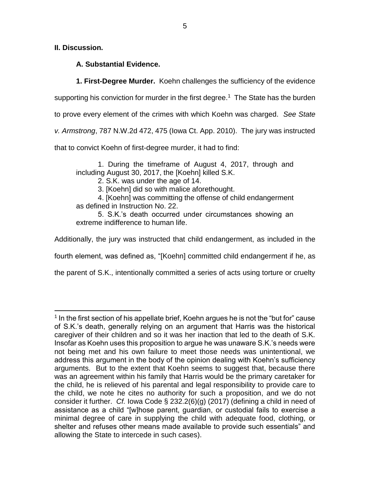**II. Discussion.**

 $\overline{a}$ 

**A. Substantial Evidence.**

**1. First-Degree Murder.** Koehn challenges the sufficiency of the evidence

supporting his conviction for murder in the first degree.<sup>1</sup> The State has the burden

to prove every element of the crimes with which Koehn was charged. *See State* 

*v. Armstrong*, 787 N.W.2d 472, 475 (Iowa Ct. App. 2010). The jury was instructed

that to convict Koehn of first-degree murder, it had to find:

1. During the timeframe of August 4, 2017, through and including August 30, 2017, the [Koehn] killed S.K.

2. S.K. was under the age of 14.

3. [Koehn] did so with malice aforethought.

4. [Koehn] was committing the offense of child endangerment as defined in Instruction No. 22.

5. S.K.'s death occurred under circumstances showing an extreme indifference to human life.

Additionally, the jury was instructed that child endangerment, as included in the

fourth element, was defined as, "[Koehn] committed child endangerment if he, as

the parent of S.K., intentionally committed a series of acts using torture or cruelty

<sup>&</sup>lt;sup>1</sup> In the first section of his appellate brief, Koehn argues he is not the "but for" cause of S.K.'s death, generally relying on an argument that Harris was the historical caregiver of their children and so it was her inaction that led to the death of S.K. Insofar as Koehn uses this proposition to argue he was unaware S.K.'s needs were not being met and his own failure to meet those needs was unintentional, we address this argument in the body of the opinion dealing with Koehn's sufficiency arguments. But to the extent that Koehn seems to suggest that, because there was an agreement within his family that Harris would be the primary caretaker for the child, he is relieved of his parental and legal responsibility to provide care to the child, we note he cites no authority for such a proposition, and we do not consider it further. *Cf.* Iowa Code § 232.2(6)(g) (2017) (defining a child in need of assistance as a child "[w]hose parent, guardian, or custodial fails to exercise a minimal degree of care in supplying the child with adequate food, clothing, or shelter and refuses other means made available to provide such essentials" and allowing the State to intercede in such cases).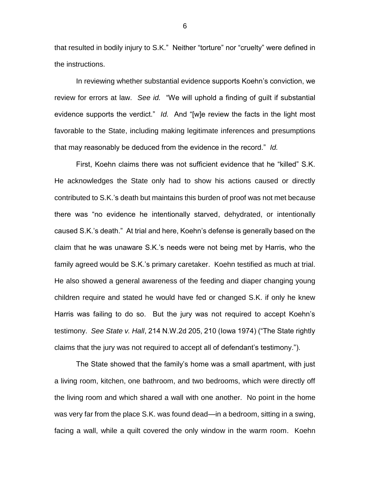that resulted in bodily injury to S.K." Neither "torture" nor "cruelty" were defined in the instructions.

In reviewing whether substantial evidence supports Koehn's conviction, we review for errors at law. *See id.* "We will uphold a finding of guilt if substantial evidence supports the verdict." *Id.* And "[w]e review the facts in the light most favorable to the State, including making legitimate inferences and presumptions that may reasonably be deduced from the evidence in the record." *Id.* 

First, Koehn claims there was not sufficient evidence that he "killed" S.K. He acknowledges the State only had to show his actions caused or directly contributed to S.K.'s death but maintains this burden of proof was not met because there was "no evidence he intentionally starved, dehydrated, or intentionally caused S.K.'s death." At trial and here, Koehn's defense is generally based on the claim that he was unaware S.K.'s needs were not being met by Harris, who the family agreed would be S.K.'s primary caretaker. Koehn testified as much at trial. He also showed a general awareness of the feeding and diaper changing young children require and stated he would have fed or changed S.K. if only he knew Harris was failing to do so. But the jury was not required to accept Koehn's testimony. *See State v. Hall*, 214 N.W.2d 205, 210 (Iowa 1974) ("The State rightly claims that the jury was not required to accept all of defendant's testimony.").

The State showed that the family's home was a small apartment, with just a living room, kitchen, one bathroom, and two bedrooms, which were directly off the living room and which shared a wall with one another. No point in the home was very far from the place S.K. was found dead—in a bedroom, sitting in a swing, facing a wall, while a quilt covered the only window in the warm room. Koehn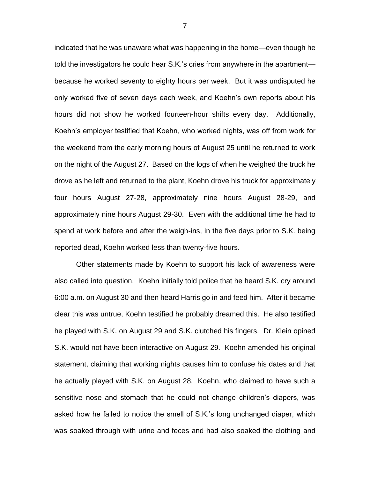indicated that he was unaware what was happening in the home—even though he told the investigators he could hear S.K.'s cries from anywhere in the apartment because he worked seventy to eighty hours per week. But it was undisputed he only worked five of seven days each week, and Koehn's own reports about his hours did not show he worked fourteen-hour shifts every day. Additionally, Koehn's employer testified that Koehn, who worked nights, was off from work for the weekend from the early morning hours of August 25 until he returned to work on the night of the August 27. Based on the logs of when he weighed the truck he drove as he left and returned to the plant, Koehn drove his truck for approximately four hours August 27-28, approximately nine hours August 28-29, and approximately nine hours August 29-30. Even with the additional time he had to spend at work before and after the weigh-ins, in the five days prior to S.K. being reported dead, Koehn worked less than twenty-five hours.

Other statements made by Koehn to support his lack of awareness were also called into question. Koehn initially told police that he heard S.K. cry around 6:00 a.m. on August 30 and then heard Harris go in and feed him. After it became clear this was untrue, Koehn testified he probably dreamed this. He also testified he played with S.K. on August 29 and S.K. clutched his fingers. Dr. Klein opined S.K. would not have been interactive on August 29. Koehn amended his original statement, claiming that working nights causes him to confuse his dates and that he actually played with S.K. on August 28. Koehn, who claimed to have such a sensitive nose and stomach that he could not change children's diapers, was asked how he failed to notice the smell of S.K.'s long unchanged diaper, which was soaked through with urine and feces and had also soaked the clothing and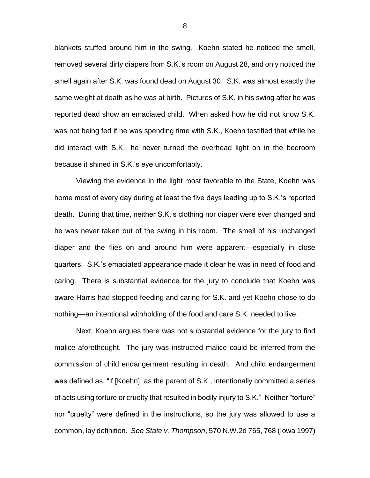blankets stuffed around him in the swing. Koehn stated he noticed the smell, removed several dirty diapers from S.K.'s room on August 28, and only noticed the smell again after S.K. was found dead on August 30. S.K. was almost exactly the same weight at death as he was at birth. Pictures of S.K. in his swing after he was reported dead show an emaciated child. When asked how he did not know S.K. was not being fed if he was spending time with S.K., Koehn testified that while he did interact with S.K., he never turned the overhead light on in the bedroom because it shined in S.K.'s eye uncomfortably.

Viewing the evidence in the light most favorable to the State, Koehn was home most of every day during at least the five days leading up to S.K.'s reported death. During that time, neither S.K.'s clothing nor diaper were ever changed and he was never taken out of the swing in his room. The smell of his unchanged diaper and the flies on and around him were apparent—especially in close quarters. S.K.'s emaciated appearance made it clear he was in need of food and caring. There is substantial evidence for the jury to conclude that Koehn was aware Harris had stopped feeding and caring for S.K. and yet Koehn chose to do nothing—an intentional withholding of the food and care S.K. needed to live.

Next, Koehn argues there was not substantial evidence for the jury to find malice aforethought. The jury was instructed malice could be inferred from the commission of child endangerment resulting in death. And child endangerment was defined as, "if [Koehn], as the parent of S.K., intentionally committed a series of acts using torture or cruelty that resulted in bodily injury to S.K." Neither "torture" nor "cruelty" were defined in the instructions, so the jury was allowed to use a common, lay definition. *See State v. Thompson*, 570 N.W.2d 765, 768 (Iowa 1997)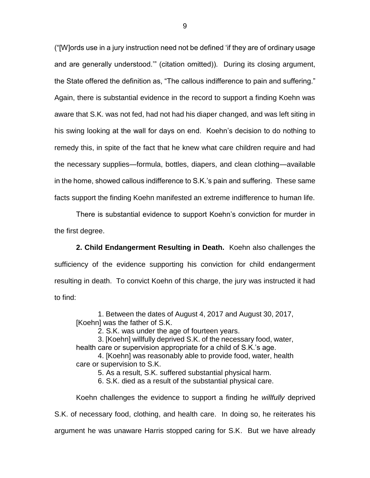("[W]ords use in a jury instruction need not be defined 'if they are of ordinary usage and are generally understood.'" (citation omitted)). During its closing argument, the State offered the definition as, "The callous indifference to pain and suffering." Again, there is substantial evidence in the record to support a finding Koehn was aware that S.K. was not fed, had not had his diaper changed, and was left siting in his swing looking at the wall for days on end. Koehn's decision to do nothing to remedy this, in spite of the fact that he knew what care children require and had the necessary supplies—formula, bottles, diapers, and clean clothing—available in the home, showed callous indifference to S.K.'s pain and suffering. These same facts support the finding Koehn manifested an extreme indifference to human life.

There is substantial evidence to support Koehn's conviction for murder in the first degree.

**2. Child Endangerment Resulting in Death.** Koehn also challenges the sufficiency of the evidence supporting his conviction for child endangerment resulting in death. To convict Koehn of this charge, the jury was instructed it had to find:

1. Between the dates of August 4, 2017 and August 30, 2017, [Koehn] was the father of S.K.

2. S.K. was under the age of fourteen years.

3. [Koehn] willfully deprived S.K. of the necessary food, water, health care or supervision appropriate for a child of S.K.'s age.

4. [Koehn] was reasonably able to provide food, water, health care or supervision to S.K.

5. As a result, S.K. suffered substantial physical harm.

6. S.K. died as a result of the substantial physical care.

Koehn challenges the evidence to support a finding he *willfully* deprived

S.K. of necessary food, clothing, and health care. In doing so, he reiterates his

argument he was unaware Harris stopped caring for S.K. But we have already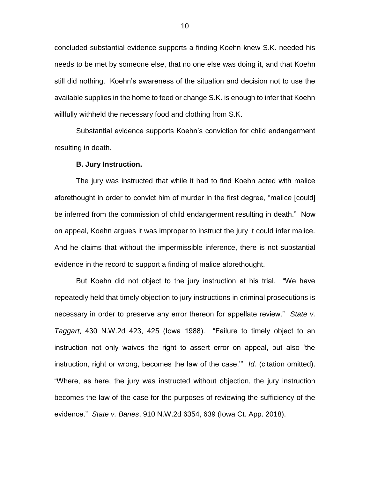concluded substantial evidence supports a finding Koehn knew S.K. needed his needs to be met by someone else, that no one else was doing it, and that Koehn still did nothing. Koehn's awareness of the situation and decision not to use the available supplies in the home to feed or change S.K. is enough to infer that Koehn willfully withheld the necessary food and clothing from S.K.

Substantial evidence supports Koehn's conviction for child endangerment resulting in death.

#### **B. Jury Instruction.**

The jury was instructed that while it had to find Koehn acted with malice aforethought in order to convict him of murder in the first degree, "malice [could] be inferred from the commission of child endangerment resulting in death." Now on appeal, Koehn argues it was improper to instruct the jury it could infer malice. And he claims that without the impermissible inference, there is not substantial evidence in the record to support a finding of malice aforethought.

But Koehn did not object to the jury instruction at his trial. "We have repeatedly held that timely objection to jury instructions in criminal prosecutions is necessary in order to preserve any error thereon for appellate review." *State v. Taggart*, 430 N.W.2d 423, 425 (Iowa 1988). "Failure to timely object to an instruction not only waives the right to assert error on appeal, but also 'the instruction, right or wrong, becomes the law of the case.'" *Id.* (citation omitted). "Where, as here, the jury was instructed without objection, the jury instruction becomes the law of the case for the purposes of reviewing the sufficiency of the evidence." *State v. Banes*, 910 N.W.2d 6354, 639 (Iowa Ct. App. 2018).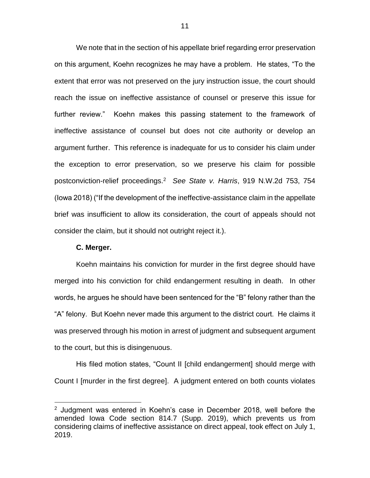We note that in the section of his appellate brief regarding error preservation on this argument, Koehn recognizes he may have a problem. He states, "To the extent that error was not preserved on the jury instruction issue, the court should reach the issue on ineffective assistance of counsel or preserve this issue for further review." Koehn makes this passing statement to the framework of ineffective assistance of counsel but does not cite authority or develop an argument further. This reference is inadequate for us to consider his claim under the exception to error preservation, so we preserve his claim for possible postconviction-relief proceedings.<sup>2</sup> *See State v. Harris*, 919 N.W.2d 753, 754 (Iowa 2018) ("If the development of the ineffective-assistance claim in the appellate brief was insufficient to allow its consideration, the court of appeals should not consider the claim, but it should not outright reject it.).

### **C. Merger.**

 $\overline{a}$ 

Koehn maintains his conviction for murder in the first degree should have merged into his conviction for child endangerment resulting in death. In other words, he argues he should have been sentenced for the "B" felony rather than the "A" felony. But Koehn never made this argument to the district court. He claims it was preserved through his motion in arrest of judgment and subsequent argument to the court, but this is disingenuous.

His filed motion states, "Count II [child endangerment] should merge with Count I [murder in the first degree]. A judgment entered on both counts violates

 $2$  Judgment was entered in Koehn's case in December 2018, well before the amended Iowa Code section 814.7 (Supp. 2019), which prevents us from considering claims of ineffective assistance on direct appeal, took effect on July 1, 2019.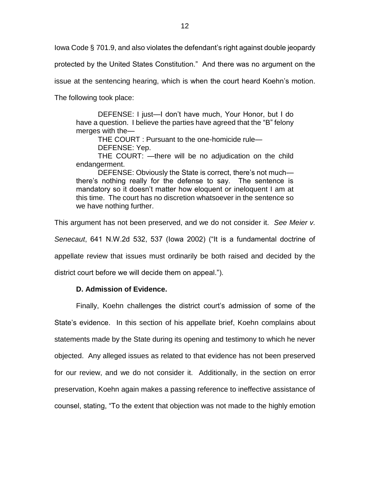Iowa Code § 701.9, and also violates the defendant's right against double jeopardy

protected by the United States Constitution." And there was no argument on the

issue at the sentencing hearing, which is when the court heard Koehn's motion.

The following took place:

DEFENSE: I just—I don't have much, Your Honor, but I do have a question. I believe the parties have agreed that the "B" felony merges with the—

THE COURT : Pursuant to the one-homicide rule— DEFENSE: Yep.

THE COURT: —there will be no adjudication on the child endangerment.

DEFENSE: Obviously the State is correct, there's not much there's nothing really for the defense to say. The sentence is mandatory so it doesn't matter how eloquent or ineloquent I am at this time. The court has no discretion whatsoever in the sentence so we have nothing further.

This argument has not been preserved, and we do not consider it. *See Meier v.* 

*Senecaut*, 641 N.W.2d 532, 537 (Iowa 2002) ("It is a fundamental doctrine of

appellate review that issues must ordinarily be both raised and decided by the

district court before we will decide them on appeal.").

## **D. Admission of Evidence.**

Finally, Koehn challenges the district court's admission of some of the State's evidence. In this section of his appellate brief, Koehn complains about statements made by the State during its opening and testimony to which he never objected. Any alleged issues as related to that evidence has not been preserved for our review, and we do not consider it. Additionally, in the section on error preservation, Koehn again makes a passing reference to ineffective assistance of counsel, stating, "To the extent that objection was not made to the highly emotion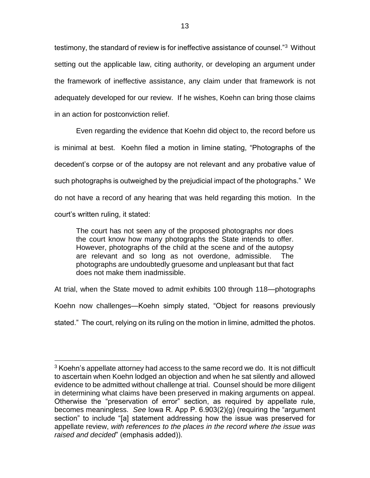testimony, the standard of review is for ineffective assistance of counsel."<sup>3</sup> Without setting out the applicable law, citing authority, or developing an argument under the framework of ineffective assistance, any claim under that framework is not adequately developed for our review. If he wishes, Koehn can bring those claims in an action for postconviction relief.

Even regarding the evidence that Koehn did object to, the record before us is minimal at best. Koehn filed a motion in limine stating, "Photographs of the decedent's corpse or of the autopsy are not relevant and any probative value of such photographs is outweighed by the prejudicial impact of the photographs." We do not have a record of any hearing that was held regarding this motion. In the court's written ruling, it stated:

The court has not seen any of the proposed photographs nor does the court know how many photographs the State intends to offer. However, photographs of the child at the scene and of the autopsy are relevant and so long as not overdone, admissible. The photographs are undoubtedly gruesome and unpleasant but that fact does not make them inadmissible.

At trial, when the State moved to admit exhibits 100 through 118—photographs Koehn now challenges—Koehn simply stated, "Object for reasons previously stated." The court, relying on its ruling on the motion in limine, admitted the photos.

 $\overline{a}$ 

 $3$  Koehn's appellate attorney had access to the same record we do. It is not difficult to ascertain when Koehn lodged an objection and when he sat silently and allowed evidence to be admitted without challenge at trial. Counsel should be more diligent in determining what claims have been preserved in making arguments on appeal. Otherwise the "preservation of error" section, as required by appellate rule, becomes meaningless. *See* Iowa R. App P. 6.903(2)(g) (requiring the "argument section" to include "[a] statement addressing how the issue was preserved for appellate review, *with references to the places in the record where the issue was raised and decided*" (emphasis added)).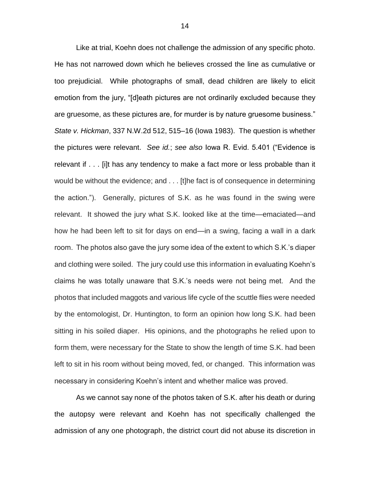Like at trial, Koehn does not challenge the admission of any specific photo. He has not narrowed down which he believes crossed the line as cumulative or too prejudicial. While photographs of small, dead children are likely to elicit emotion from the jury, "[d]eath pictures are not ordinarily excluded because they are gruesome, as these pictures are, for murder is by nature gruesome business." *State v. Hickman*, 337 N.W.2d 512, 515–16 (Iowa 1983). The question is whether the pictures were relevant. *See id.*; *see also* Iowa R. Evid. 5.401 ("Evidence is relevant if . . . [i]t has any tendency to make a fact more or less probable than it would be without the evidence; and . . . [t]he fact is of consequence in determining the action."). Generally, pictures of S.K. as he was found in the swing were relevant. It showed the jury what S.K. looked like at the time—emaciated—and how he had been left to sit for days on end—in a swing, facing a wall in a dark room. The photos also gave the jury some idea of the extent to which S.K.'s diaper and clothing were soiled. The jury could use this information in evaluating Koehn's claims he was totally unaware that S.K.'s needs were not being met. And the photos that included maggots and various life cycle of the scuttle flies were needed by the entomologist, Dr. Huntington, to form an opinion how long S.K. had been sitting in his soiled diaper. His opinions, and the photographs he relied upon to form them, were necessary for the State to show the length of time S.K. had been left to sit in his room without being moved, fed, or changed. This information was necessary in considering Koehn's intent and whether malice was proved.

As we cannot say none of the photos taken of S.K. after his death or during the autopsy were relevant and Koehn has not specifically challenged the admission of any one photograph, the district court did not abuse its discretion in